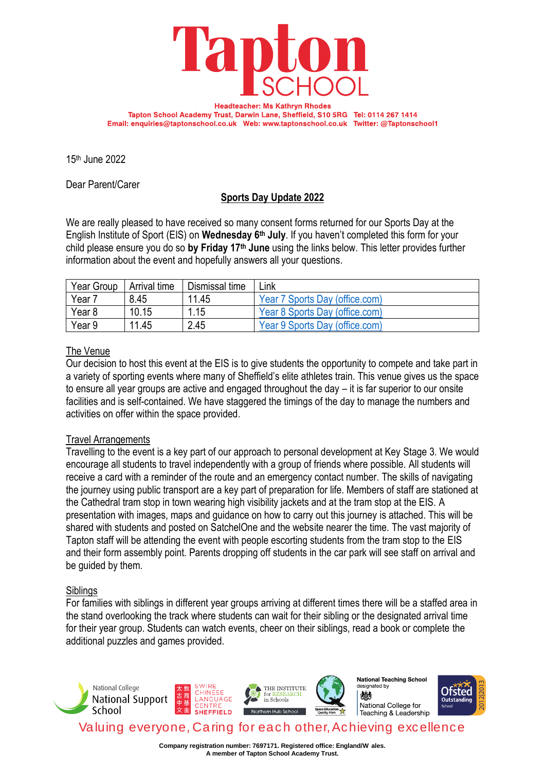

**Headteacher: Ms Kathryn Rhodes** Tapton School Academy Trust, Darwin Lane, Sheffield, S10 5RG Tel: 0114 267 1414 Email: enquiries@taptonschool.co.uk Web: www.taptonschool.co.uk Twitter: @Taptonschool1

15th June 2022

Dear Parent/Carer

# **Sports Day Update 2022**

We are really pleased to have received so many consent forms returned for our Sports Day at the English Institute of Sport (EIS) on **Wednesday 6th July**. If you haven't completed this form for your child please ensure you do so **by Friday 17th June** using the links below. This letter provides further information about the event and hopefully answers all your questions.

| Year Group | Arrival time | Dismissal time | Link                           |
|------------|--------------|----------------|--------------------------------|
| Year 7     | 8.45         | 11.45          | Year 7 Sports Day (office.com) |
| Year 8     | 10.15        | 1.15           | Year 8 Sports Day (office.com) |
| Year 9     | 11.45        | 2.45           | Year 9 Sports Day (office.com) |

### The Venue

Our decision to host this event at the EIS is to give students the opportunity to compete and take part in a variety of sporting events where many of Sheffield's elite athletes train. This venue gives us the space to ensure all year groups are active and engaged throughout the day – it is far superior to our onsite facilities and is self-contained. We have staggered the timings of the day to manage the numbers and activities on offer within the space provided.

### Travel Arrangements

Travelling to the event is a key part of our approach to personal development at Key Stage 3. We would encourage all students to travel independently with a group of friends where possible. All students will receive a card with a reminder of the route and an emergency contact number. The skills of navigating the journey using public transport are a key part of preparation for life. Members of staff are stationed at the Cathedral tram stop in town wearing high visibility jackets and at the tram stop at the EIS. A presentation with images, maps and guidance on how to carry out this journey is attached. This will be shared with students and posted on SatchelOne and the website nearer the time. The vast majority of Tapton staff will be attending the event with people escorting students from the tram stop to the EIS and their form assembly point. Parents dropping off students in the car park will see staff on arrival and be guided by them.

#### **Siblings**

For families with siblings in different year groups arriving at different times there will be a staffed area in the stand overlooking the track where students can wait for their sibling or the designated arrival time for their year group. Students can watch events, cheer on their siblings, read a book or complete the additional puzzles and games provided.